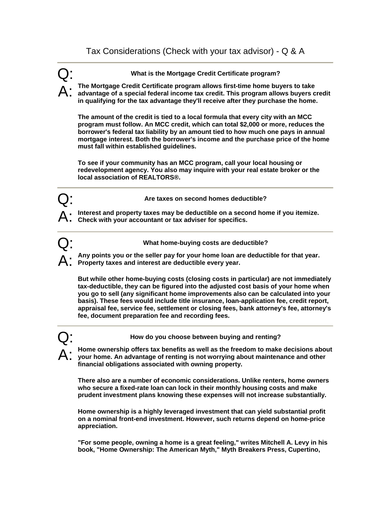Q: **What is the Mortgage Credit Certificate program?** 

A: **The Mortgage Credit Certificate program allows first-time home buyers to take advantage of a special federal income tax credit. This program allows buyers credit in qualifying for the tax advantage they'll receive after they purchase the home.** 

**The amount of the credit is tied to a local formula that every city with an MCC program must follow. An MCC credit, which can total \$2,000 or more, reduces the borrower's federal tax liability by an amount tied to how much one pays in annual mortgage interest. Both the borrower's income and the purchase price of the home must fall within established guidelines.** 

**To see if your community has an MCC program, call your local housing or redevelopment agency. You also may inquire with your real estate broker or the local association of REALTORS®.** 

Are taxes on second homes deductible?

**Interest and property taxes may be deductible on a second home if you itemize. Check with your accountant or tax adviser for specifics.**

Q: **What home-buying costs are deductible?** 

Any points you or the seller pay for your home loan are deductible for that year. **Property taxes and interest are deductible every year.** 

**But while other home-buying costs (closing costs in particular) are not immediately tax-deductible, they can be figured into the adjusted cost basis of your home when you go to sell (any significant home improvements also can be calculated into your basis). These fees would include title insurance, loan-application fee, credit report, appraisal fee, service fee, settlement or closing fees, bank attorney's fee, attorney's fee, document preparation fee and recording fees.** 

Q: **How do you choose between buying and renting?**

A: Home ownership offers tax benefits as well as the freedom to make decisions about<br> **A:** your home. An advantage of renting is not worrying about maintenance and other **financial obligations associated with owning property.** 

**There also are a number of economic considerations. Unlike renters, home owners who secure a fixed-rate loan can lock in their monthly housing costs and make prudent investment plans knowing these expenses will not increase substantially.** 

**Home ownership is a highly leveraged investment that can yield substantial profit on a nominal front-end investment. However, such returns depend on home-price appreciation.** 

**"For some people, owning a home is a great feeling," writes Mitchell A. Levy in his book, "Home Ownership: The American Myth," Myth Breakers Press, Cupertino,**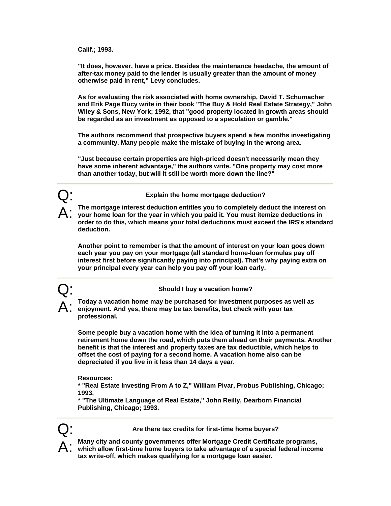**Calif.; 1993.** 

**"It does, however, have a price. Besides the maintenance headache, the amount of after-tax money paid to the lender is usually greater than the amount of money otherwise paid in rent," Levy concludes.** 

**As for evaluating the risk associated with home ownership, David T. Schumacher and Erik Page Bucy write in their book "The Buy & Hold Real Estate Strategy," John Wiley & Sons, New York; 1992, that "good property located in growth areas should be regarded as an investment as opposed to a speculation or gamble."** 

**The authors recommend that prospective buyers spend a few months investigating a community. Many people make the mistake of buying in the wrong area.** 

**"Just because certain properties are high-priced doesn't necessarily mean they have some inherent advantage," the authors write. "One property may cost more than another today, but will it still be worth more down the line?"**



A: **The mortgage interest deduction entitles you to completely deduct the interest on your home loan for the year in which you paid it. You must itemize deductions in order to do this, which means your total deductions must exceed the IRS's standard deduction.** 

**Another point to remember is that the amount of interest on your loan goes down each year you pay on your mortgage (all standard home-loan formulas pay off interest first before significantly paying into principal). That's why paying extra on your principal every year can help you pay off your loan early.** 



A: **Today a vacation home may be purchased for investment purposes as well as enjoyment. And yes, there may be tax benefits, but check with your tax professional.** 

**Some people buy a vacation home with the idea of turning it into a permanent retirement home down the road, which puts them ahead on their payments. Another benefit is that the interest and property taxes are tax deductible, which helps to offset the cost of paying for a second home. A vacation home also can be depreciated if you live in it less than 14 days a year.** 

**Resources:** 

**\* "Real Estate Investing From A to Z," William Pivar, Probus Publishing, Chicago; 1993.** 

**\* "The Ultimate Language of Real Estate,'' John Reilly, Dearborn Financial Publishing, Chicago; 1993.** 



Are there tax credits for first-time home buyers?

A: **Many city and county governments offer Mortgage Credit Certificate programs, which allow first-time home buyers to take advantage of a special federal income tax write-off, which makes qualifying for a mortgage loan easier.**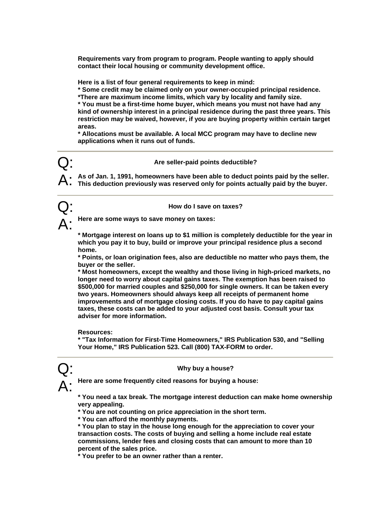**Requirements vary from program to program. People wanting to apply should contact their local housing or community development office.** 

**Here is a list of four general requirements to keep in mind:** 

**\* Some credit may be claimed only on your owner-occupied principal residence.** 

**\*There are maximum income limits, which vary by locality and family size.** 

**\* You must be a first-time home buyer, which means you must not have had any kind of ownership interest in a principal residence during the past three years. This restriction may be waived, however, if you are buying property within certain target areas.** 

**\* Allocations must be available. A local MCC program may have to decline new applications when it runs out of funds.** 

## Q: **Are seller-paid points deductible?**

A: **As of Jan. 1, 1991, homeowners have been able to deduct points paid by the seller. This deduction previously was reserved only for points actually paid by the buyer.** 



Here are some ways to save money on taxes:

**\* Mortgage interest on loans up to \$1 million is completely deductible for the year in which you pay it to buy, build or improve your principal residence plus a second home.** 

**\* Points, or loan origination fees, also are deductible no matter who pays them, the buyer or the seller.** 

**\* Most homeowners, except the wealthy and those living in high-priced markets, no longer need to worry about capital gains taxes. The exemption has been raised to \$500,000 for married couples and \$250,000 for single owners. It can be taken every two years. Homeowners should always keep all receipts of permanent home improvements and of mortgage closing costs. If you do have to pay capital gains taxes, these costs can be added to your adjusted cost basis. Consult your tax adviser for more information.** 

**Resources:** 

**\* "Tax Information for First-Time Homeowners," IRS Publication 530, and "Selling Your Home," IRS Publication 523. Call (800) TAX-FORM to order.** 

## Q: **Why buy a house?**



**\* You need a tax break. The mortgage interest deduction can make home ownership very appealing.** 

**\* You are not counting on price appreciation in the short term.** 

**\* You can afford the monthly payments.** 

**\* You plan to stay in the house long enough for the appreciation to cover your transaction costs. The costs of buying and selling a home include real estate commissions, lender fees and closing costs that can amount to more than 10 percent of the sales price.** 

**\* You prefer to be an owner rather than a renter.**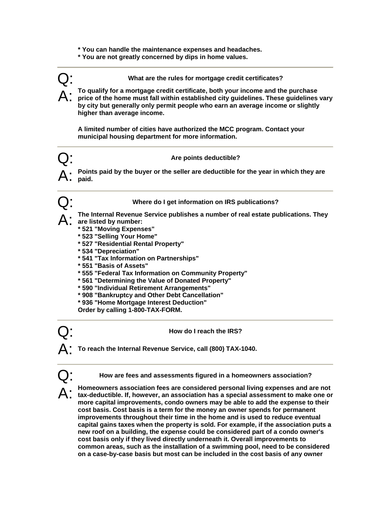- **\* You can handle the maintenance expenses and headaches.**
- **\* You are not greatly concerned by dips in home values.**

Q: **What are the rules for mortgage credit certificates?** 

A: **To qualify for a mortgage credit certificate, both your income and the purchase price of the home must fall within established city guidelines. These guidelines vary by city but generally only permit people who earn an average income or slightly higher than average income.** 

**A limited number of cities have authorized the MCC program. Contact your municipal housing department for more information.** 

## Q: **Are points deductible?**

Points paid by the buyer or the seller are deductible for the year in which they are **paid.** 



Q: **Where do I get information on IRS publications?** 

A: **The Internal Revenue Service publishes a number of real estate publications. They are listed by number:** 

- **\* 521 "Moving Expenses"**
- **\* 523 "Selling Your Home"**
- **\* 527 "Residential Rental Property"**
- **\* 534 "Depreciation"**
- **\* 541 "Tax Information on Partnerships"**
- **\* 551 "Basis of Assets"**
- **\* 555 "Federal Tax Information on Community Property"**
- **\* 561 "Determining the Value of Donated Property"**
- **\* 590 "Individual Retirement Arrangements"**
- **\* 908 "Bankruptcy and Other Debt Cancellation"**
- **\* 936 "Home Mortgage Interest Deduction"**

**Order by calling 1-800-TAX-FORM.** 

Q: **How do I reach the IRS?** 

A: **To reach the Internal Revenue Service, call (800) TAX-1040.** 

Q: **How are fees and assessments figured in a homeowners association?** 

A: **Homeowners association fees are considered personal living expenses and are not tax-deductible. If, however, an association has a special assessment to make one or more capital improvements, condo owners may be able to add the expense to their cost basis. Cost basis is a term for the money an owner spends for permanent improvements throughout their time in the home and is used to reduce eventual capital gains taxes when the property is sold. For example, if the association puts a new roof on a building, the expense could be considered part of a condo owner's cost basis only if they lived directly underneath it. Overall improvements to common areas, such as the installation of a swimming pool, need to be considered on a case-by-case basis but most can be included in the cost basis of any owner**